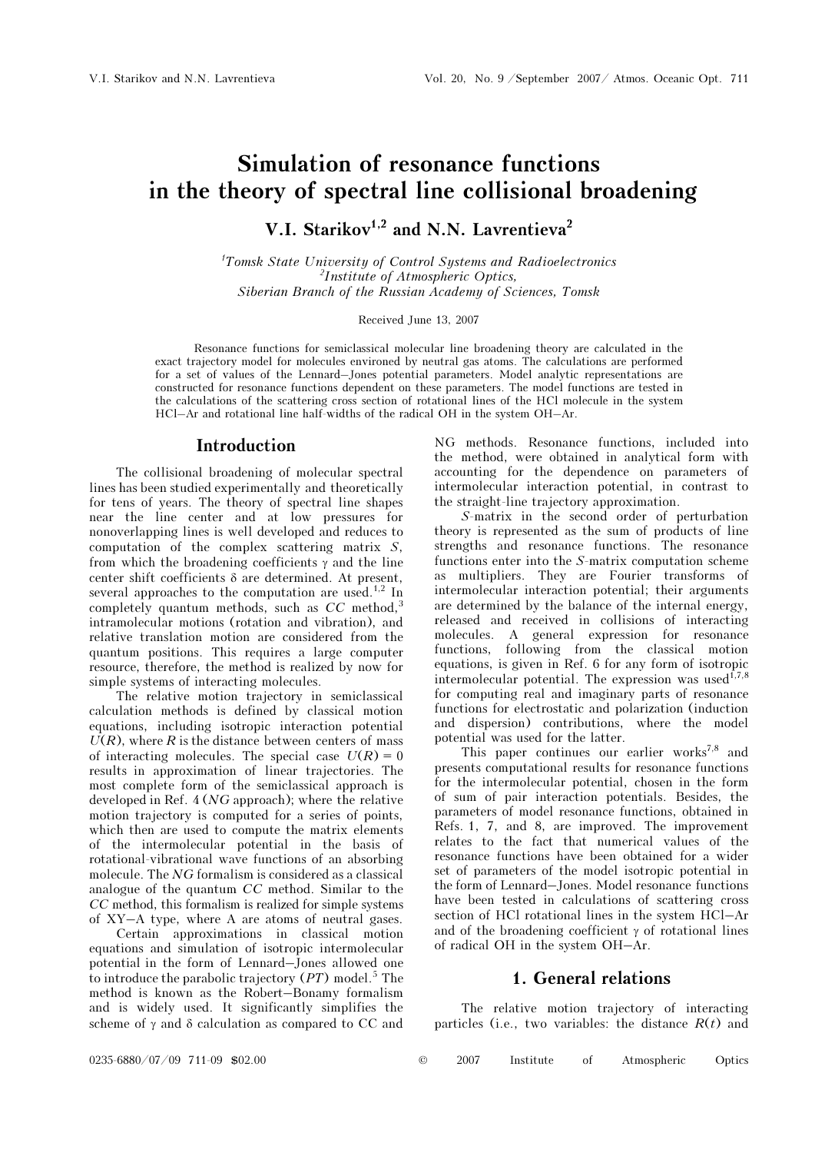# Simulation of resonance functions in the theory of spectral line collisional broadening

V.I. Starikov<sup>1,2</sup> and N.N. Lavrentieva<sup>2</sup>

<sup>1</sup>Tomsk State University of Control Systems and Radioelectronics <sup>2</sup>Institute of Atmospheric Optics, Siberian Branch of the Russian Academy of Sciences, Tomsk

Received June 13, 2007

Resonance functions for semiclassical molecular line broadening theory are calculated in the exact trajectory model for molecules environed by neutral gas atoms. The calculations are performed for a set of values of the Lennard–Jones potential parameters. Model analytic representations are constructed for resonance functions dependent on these parameters. The model functions are tested in the calculations of the scattering cross section of rotational lines of the HCl molecule in the system HCl–Ar and rotational line half-widths of the radical OH in the system OH–Ar.

### Introduction

The collisional broadening of molecular spectral lines has been studied experimentally and theoretically for tens of years. The theory of spectral line shapes near the line center and at low pressures for nonoverlapping lines is well developed and reduces to computation of the complex scattering matrix S, from which the broadening coefficients  $\gamma$  and the line center shift coefficients δ are determined. At present, several approaches to the computation are used.<sup>1,2</sup> In completely quantum methods, such as  $CC$  method,<sup>3</sup> intramolecular motions (rotation and vibration), and relative translation motion are considered from the quantum positions. This requires a large computer resource, therefore, the method is realized by now for simple systems of interacting molecules.

The relative motion trajectory in semiclassical calculation methods is defined by classical motion equations, including isotropic interaction potential  $U(R)$ , where R is the distance between centers of mass of interacting molecules. The special case  $U(R) = 0$ results in approximation of linear trajectories. The most complete form of the semiclassical approach is developed in Ref. 4 (NG approach); where the relative motion trajectory is computed for a series of points, which then are used to compute the matrix elements of the intermolecular potential in the basis of rotational-vibrational wave functions of an absorbing molecule. The NG formalism is considered as a classical analogue of the quantum CC method. Similar to the CC method, this formalism is realized for simple systems of XY–A type, where A are atoms of neutral gases.

 Certain approximations in classical motion equations and simulation of isotropic intermolecular potential in the form of Lennard–Jones allowed one to introduce the parabolic trajectory  $(PT)$  model.<sup>5</sup> The method is known as the Robert–Bonamy formalism and is widely used. It significantly simplifies the scheme of  $\gamma$  and  $\delta$  calculation as compared to CC and

NG methods. Resonance functions, included into the method, were obtained in analytical form with accounting for the dependence on parameters of intermolecular interaction potential, in contrast to the straight-line trajectory approximation.

S-matrix in the second order of perturbation theory is represented as the sum of products of line strengths and resonance functions. The resonance functions enter into the S-matrix computation scheme as multipliers. They are Fourier transforms of intermolecular interaction potential; their arguments are determined by the balance of the internal energy, released and received in collisions of interacting molecules. A general expression for resonance functions, following from the classical motion equations, is given in Ref. 6 for any form of isotropic intermolecular potential. The expression was used $^{\tilde{1},7,8}$ for computing real and imaginary parts of resonance functions for electrostatic and polarization (induction and dispersion) contributions, where the model potential was used for the latter.

This paper continues our earlier works<sup>7,8</sup> and presents computational results for resonance functions for the intermolecular potential, chosen in the form of sum of pair interaction potentials. Besides, the parameters of model resonance functions, obtained in Refs. 1, 7, and 8, are improved. The improvement relates to the fact that numerical values of the resonance functions have been obtained for a wider set of parameters of the model isotropic potential in the form of Lennard–Jones. Model resonance functions have been tested in calculations of scattering cross section of HCl rotational lines in the system HCl–Ar and of the broadening coefficient  $\gamma$  of rotational lines of radical OH in the system OH–Ar.

### 1. General relations

The relative motion trajectory of interacting particles (i.e., two variables: the distance  $R(t)$  and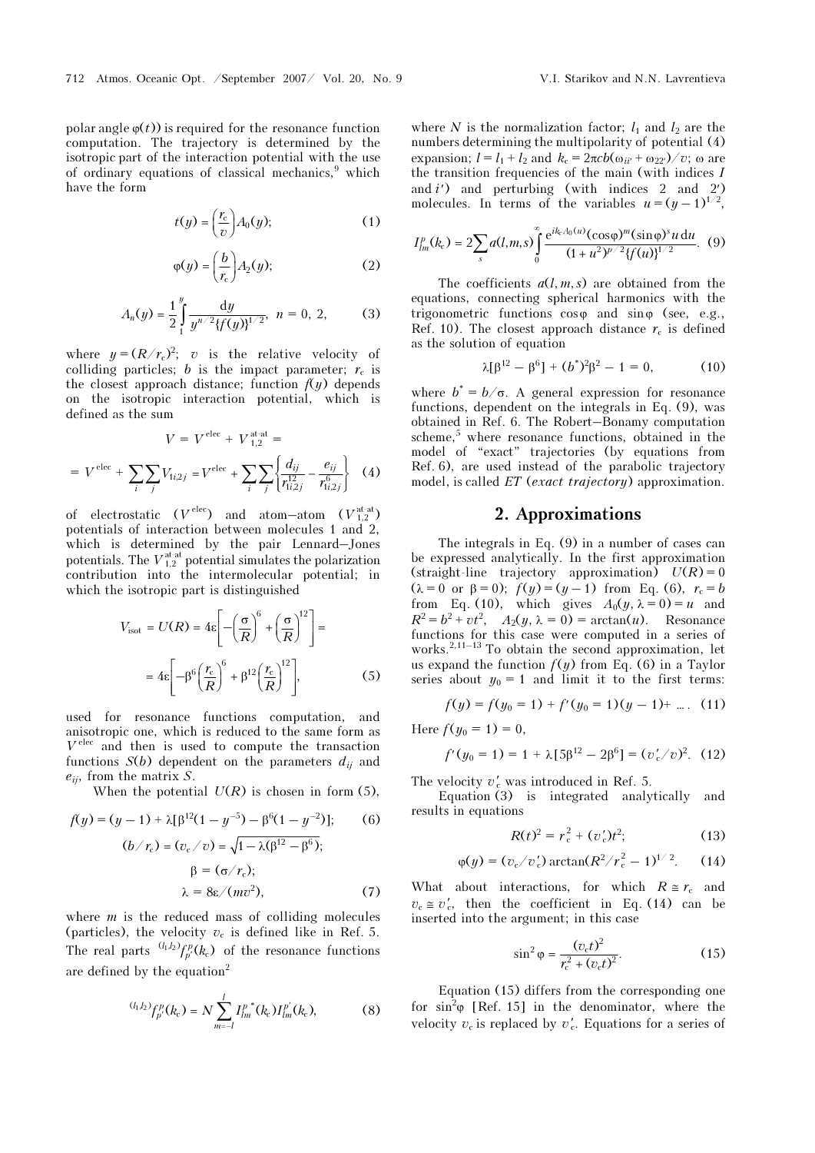polar angle  $\varphi(t)$  is required for the resonance function computation. The trajectory is determined by the isotropic part of the interaction potential with the use of ordinary equations of classical mechanics,<sup>9</sup> which have the form

$$
t(y) = \left(\frac{r_c}{v}\right) A_0(y); \tag{1}
$$

$$
\varphi(y) = \left(\frac{b}{r_c}\right) A_2(y); \tag{2}
$$

$$
A_n(y) = \frac{1}{2} \int_1^y \frac{dy}{y^{n/2} \{f(y)\}^{1/2}}, \quad n = 0, 2, \quad (3)
$$

where  $y = (R/r_c)^2$ ; v is the relative velocity of colliding particles; b is the impact parameter;  $r_c$  is the closest approach distance; function  $f(y)$  depends on the isotropic interaction potential, which is defined as the sum

$$
V = V^{\text{elec}} + V_{1,2}^{\text{at-at}} =
$$
  
=  $V^{\text{elec}} + \sum_{i} \sum_{j} V_{1i,2j} = V^{\text{elec}} + \sum_{i} \sum_{j} \left\{ \frac{d_{ij}}{r_{1i,2j}^{12}} - \frac{e_{ij}}{r_{1i,2j}^{6}} \right\}$  (4)

of electrostatic  $(V^{\text{elec}})$  and atom-atom  $(V_{1,2}^{\text{at-at}})$ potentials of interaction between molecules 1 and 2, which is determined by the pair Lennard–Jones potentials. The  $V_{1,2}^{\text{at-at}}$  potential simulates the polarization contribution into the intermolecular potential; in which the isotropic part is distinguished

$$
V_{\text{isot}} = U(R) = 4\varepsilon \left[ -\left(\frac{\sigma}{R}\right)^6 + \left(\frac{\sigma}{R}\right)^{12} \right] =
$$

$$
= 4\varepsilon \left[ -\beta^6 \left(\frac{r_c}{R}\right)^6 + \beta^{12} \left(\frac{r_c}{R}\right)^{12} \right],\tag{5}
$$

used for resonance functions computation, and anisotropic one, which is reduced to the same form as  $V^{\text{elec}}$  and then is used to compute the transaction functions  $S(b)$  dependent on the parameters  $d_{ij}$  and  $e_{ij}$ , from the matrix S.

When the potential  $U(R)$  is chosen in form (5),

$$
f(y) = (y - 1) + \lambda[\beta^{12}(1 - y^{-5}) - \beta^{6}(1 - y^{-2})];
$$
(6)  

$$
(b/r_c) = (v_c/v) = \sqrt{1 - \lambda(\beta^{12} - \beta^{6})};
$$

$$
\beta = (\sigma/r_c);
$$

$$
\lambda = 8\varepsilon/(mv^2),
$$
(7)

where  $m$  is the reduced mass of colliding molecules (particles), the velocity  $v_c$  is defined like in Ref. 5. The real parts  $\binom{(l_1, l_2)}{p'}$  ( $k_c$ ) of the resonance functions are defined by the equation<sup>2</sup>

$$
^{(l_1,l_2)}f_{p'}^p(k_c) = N \sum_{m=-l}^l I_{lm}^{p^*}(k_c) I_{lm}^{p'}(k_c), \qquad (8)
$$

where N is the normalization factor;  $l_1$  and  $l_2$  are the numbers determining the multipolarity of potential (4) expansion;  $l = l_1 + l_2$  and  $k_c = 2\pi c b(\omega_{ii'} + \omega_{22'})/v$ ; ω are the transition frequencies of the main (with indices I and  $i'$  and perturbing (with indices 2 and 2') molecules. In terms of the variables  $u = (y - 1)^{1/2}$ ,

$$
I_{lm}^p(k_c) = 2 \sum_s a(l,m,s) \int_0^\infty \frac{e^{ik_c A_0(u)} (\cos \varphi)^m (\sin \varphi)^s u \, du}{(1 + u^2)^{p/2} \{f(u)\}^{1/2}}.
$$
 (9)

The coefficients  $a(l, m, s)$  are obtained from the equations, connecting spherical harmonics with the trigonometric functions  $\cos \varphi$  and  $\sin \varphi$  (see, e.g., Ref. 10). The closest approach distance  $r_c$  is defined as the solution of equation

$$
\lambda[\beta^{12} - \beta^6] + (b^*)^2 \beta^2 - 1 = 0, \qquad (10)
$$

where  $b^* = b/\sigma$ . A general expression for resonance functions, dependent on the integrals in Eq. (9), was obtained in Ref. 6. The Robert–Bonamy computation scheme,<sup>5</sup> where resonance functions, obtained in the model of "exact" trajectories (by equations from Ref. 6), are used instead of the parabolic trajectory model, is called  $ET$  (exact trajectory) approximation.

### 2. Approximations

The integrals in Eq. (9) in a number of cases can be expressed analytically. In the first approximation (straight-line trajectory approximation)  $U(R) = 0$ ( $\lambda = 0$  or  $\beta = 0$ );  $f(y) = (y - 1)$  from Eq. (6),  $r_c = b$ from Eq. (10), which gives  $A_0(y, \lambda = 0) = u$  and  $R^2 = b^2 + vt^2$ ,  $A_2(y, \lambda = 0) = \arctan(u)$ . Resonance functions for this case were computed in a series of works. $2,11-13$  To obtain the second approximation, let us expand the function  $f(y)$  from Eq. (6) in a Taylor series about  $y_0 = 1$  and limit it to the first terms:

$$
f(y) = f(y_0 = 1) + f'(y_0 = 1)(y - 1) + \dots
$$
 (11)

Here  $f(y_0 = 1) = 0$ ,

$$
f'(y_0 = 1) = 1 + \lambda [5\beta^{12} - 2\beta^6] = (v'_c/v)^2.
$$
 (12)

The velocity  $v'_c$  was introduced in Ref. 5.

Equation (3) is integrated analytically and results in equations

$$
R(t)^2 = r_c^2 + (v_c')t^2; \tag{13}
$$

$$
\varphi(y) = (v_c/v_c') \arctan(R^2/r_c^2 - 1)^{1/2}
$$
. (14)

What about interactions, for which  $R \cong r_c$  and  $v_c \approx v_c'$ , then the coefficient in Eq. (14) can be inserted into the argument; in this case

$$
\sin^2 \varphi = \frac{(v_c t)^2}{r_c^2 + (v_c t)^2}.
$$
 (15)

Equation (15) differs from the corresponding one for  $\sin^2\varphi$  [Ref. 15] in the denominator, where the velocity  $v_c$  is replaced by  $v_c'$ . Equations for a series of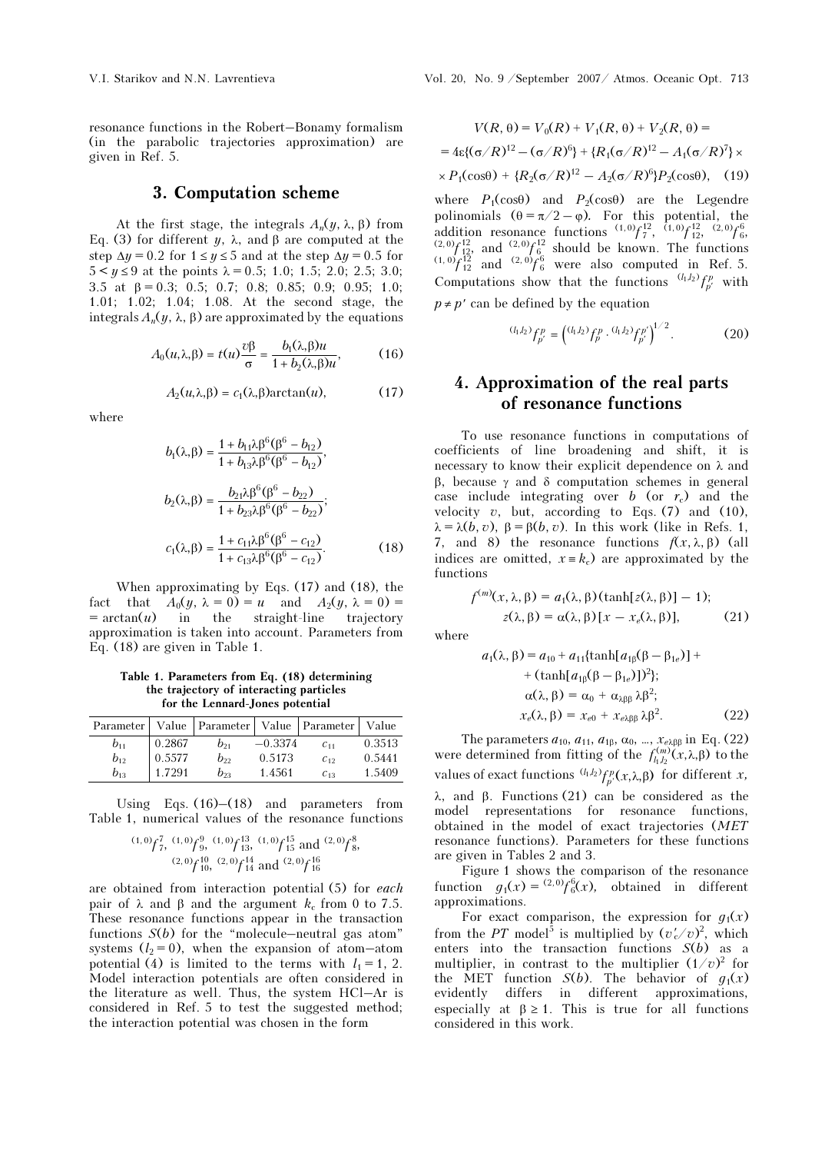resonance functions in the Robert–Bonamy formalism (in the parabolic trajectories approximation) are given in Ref. 5.

### 3. Computation scheme

At the first stage, the integrals  $A_n(y, \lambda, \beta)$  from Eq. (3) for different y,  $\lambda$ , and β are computed at the step  $\Delta y = 0.2$  for  $1 \le y \le 5$  and at the step  $\Delta y = 0.5$  for  $5 < y \le 9$  at the points  $\lambda = 0.5$ ; 1.0; 1.5; 2.0; 2.5; 3.0; 3.5 at β = 0.3; 0.5; 0.7; 0.8; 0.85; 0.9; 0.95; 1.0; 1.01; 1.02; 1.04; 1.08. At the second stage, the integrals  $A_n(y, \lambda, \beta)$  are approximated by the equations

$$
A_0(u,\lambda,\beta) = t(u)\frac{\partial \beta}{\sigma} = \frac{b_1(\lambda,\beta)u}{1 + b_2(\lambda,\beta)u},\tag{16}
$$

$$
A_2(u,\lambda,\beta) = c_1(\lambda,\beta)\arctan(u),\tag{17}
$$

where

$$
b_1(\lambda, \beta) = \frac{1 + b_{11}\lambda \beta^6 (\beta^6 - b_{12})}{1 + b_{13}\lambda \beta^6 (\beta^6 - b_{12})},
$$
  
\n
$$
b_2(\lambda, \beta) = \frac{b_{21}\lambda \beta^6 (\beta^6 - b_{22})}{1 + b_{23}\lambda \beta^6 (\beta^6 - b_{22})};
$$
  
\n
$$
c_1(\lambda, \beta) = \frac{1 + c_{11}\lambda \beta^6 (\beta^6 - c_{12})}{1 + c_{13}\lambda \beta^6 (\beta^6 - c_{12})}.
$$
 (18)

When approximating by Eqs. (17) and (18), the fact that  $A_0(y, \lambda = 0) = u$  and  $A_2(y, \lambda = 0) =$  $= \arctan(u)$  in the straight-line trajectory approximation is taken into account. Parameters from Eq. (18) are given in Table 1.

Table 1. Parameters from Eq. (18) determining the trajectory of interacting particles for the Lennard-Jones potential

|          |        | Parameter   Value   Parameter   Value   Parameter   Value |           |          |        |
|----------|--------|-----------------------------------------------------------|-----------|----------|--------|
| $b_{11}$ | 0.2867 | $b_{21}$                                                  | $-0.3374$ | $C_{11}$ | 0.3513 |
| $b_{12}$ | 0.5577 | b»                                                        | 0.5173    | $C_{12}$ | 0.5441 |
| $b_{13}$ | 1.7291 | $b_{23}$                                                  | 1.4561    | $C_{13}$ | 1.5409 |

Using Eqs.  $(16)$ – $(18)$  and parameters from Table 1, numerical values of the resonance functions

$$
(1,0)
$$
 $f_7^7$ ,  $(1,0)$  $f_9^9$ ,  $(1,0)$  $f_{13}^{13}$ ,  $(1,0)$  $f_{15}^{15}$  and  $(2,0)$  $f_8^8$ ,  
 $(2,0)$  $f_{10}^{10}$ ,  $(2,0)$  $f_{14}^{14}$  and  $(2,0)$  $f_{16}^{16}$ 

are obtained from interaction potential (5) for each pair of λ and β and the argument  $k_c$  from 0 to 7.5. These resonance functions appear in the transaction functions  $S(b)$  for the "molecule-neutral gas atom" systems  $(l_2 = 0)$ , when the expansion of atom-atom potential (4) is limited to the terms with  $l_1 = 1, 2$ . Model interaction potentials are often considered in the literature as well. Thus, the system HCl–Ar is considered in Ref. 5 to test the suggested method; the interaction potential was chosen in the form

$$
V(R, \theta) = V_0(R) + V_1(R, \theta) + V_2(R, \theta) =
$$
  
= 4\epsilon\{(\sigma/R)^{12} - (\sigma/R)^6\} + {R\_1(\sigma/R)^{12} - A\_1(\sigma/R)^7} \times  
× P\_1(\cos\theta) + {R\_2(\sigma/R)^{12} - A\_2(\sigma/R)^6}P\_2(\cos\theta), (19)

where  $P_1(\cos\theta)$  and  $P_2(\cos\theta)$  are the Legendre polinomials  $(\theta = \pi/2 - \varphi)$ . For this potential, the addition resonance functions  $(1,0)$   $\int_{1}^{12}$ ,  $(1,0)$   $\int_{12}^{12}$ ,  $(2,0)$   $\int_{6}^{6}$ ,  $\frac{(2,0)}{12}$  and  $\frac{(2,0)}{6}$  should be known. The functions  $\frac{(1,0)}{12}$  and  $\frac{(2,0)}{6}$  were also computed in Ref. 5. Computations show that the functions  $\frac{(l_1, l_2)}{p} f_p^p$  with  $p \neq p'$  can be defined by the equation

$$
^{(l_1,l_2)}f_{p'}^p = \left( ^{(l_1,l_2)}f_{p}^p \cdot ^{(l_1,l_2)}f_{p'}^p \right)^{1/2}.\tag{20}
$$

# 4. Approximation of the real parts of resonance functions

To use resonance functions in computations of coefficients of line broadening and shift, it is necessary to know their explicit dependence on  $\lambda$  and β, because γ and δ computation schemes in general case include integrating over b (or  $r_c$ ) and the velocity  $v$ , but, according to Eqs. (7) and (10),  $\lambda = \lambda(b, v), \beta = \beta(b, v)$ . In this work (like in Refs. 1, 7, and 8) the resonance functions  $f(x, \lambda, \beta)$  (all indices are omitted,  $x = k_c$  are approximated by the functions

$$
f^{(m)}(x, \lambda, \beta) = a_1(\lambda, \beta)(\tanh[z(\lambda, \beta)] - 1);
$$
  
z(\lambda, \beta) = \alpha(\lambda, \beta)[x - x\_e(\lambda, \beta)], (21)

where

$$
a_1(\lambda, \beta) = a_{10} + a_{11}\{\tanh[a_{1\beta}(\beta - \beta_{1e})] +
$$
  
+ 
$$
(\tanh[a_{1\beta}(\beta - \beta_{1e})])^2\};
$$
  

$$
\alpha(\lambda, \beta) = \alpha_0 + \alpha_{\lambda\beta\beta} \lambda \beta^2;
$$
  

$$
x_e(\lambda, \beta) = x_{e0} + x_{e\lambda\beta\beta} \lambda \beta^2.
$$
 (22)

The parameters  $a_{10}$ ,  $a_{11}$ ,  $a_{1\beta}$ ,  $\alpha_0$ , ...,  $x_{e\lambda\beta\beta}$  in Eq. (22) were determined from fitting of the  $f_{l_1l_2}^{(m)}(x,\lambda,\beta)$  to the values of exact functions  $^{(l_1, l_2)} f_{p'}^p(x, \lambda, \beta)$  for different x,

λ, and β. Functions (21) can be considered as the model representations for resonance functions, obtained in the model of exact trajectories (MET resonance functions). Parameters for these functions are given in Tables 2 and 3.

Figure 1 shows the comparison of the resonance function  $g_1(x) = {^{(2,0)}} f_6^6(x)$ , obtained in different approximations.

For exact comparison, the expression for  $q_1(x)$ from the PT model<sup>5</sup> is multiplied by  $(v'_c/v)^2$ , which enters into the transaction functions  $S(b)$  as a multiplier, in contrast to the multiplier  $(1/v)^2$  for the MET function  $S(b)$ . The behavior of  $g_1(x)$ evidently differs in different approximations, especially at  $\beta \ge 1$ . This is true for all functions considered in this work.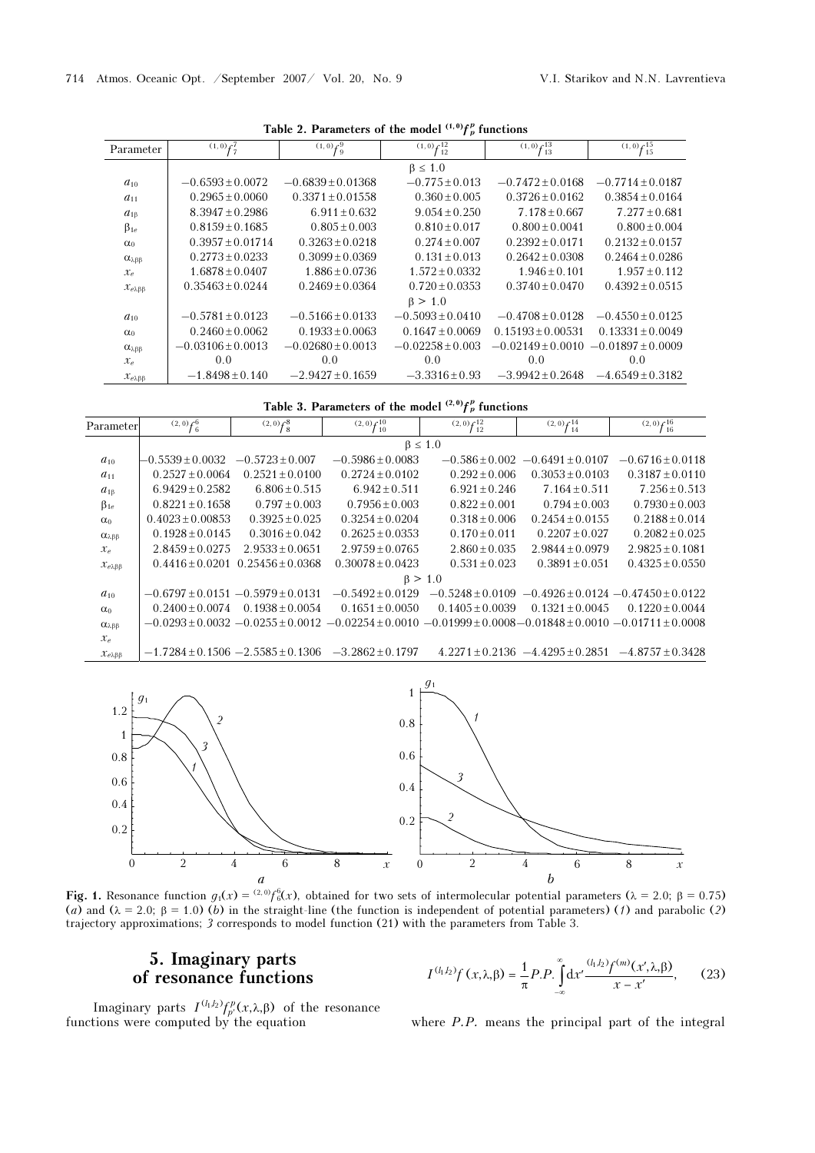| Parameter                      | $(1,0) f_7^7$        | $(1,0)$ $f_9^9$       | $(1,0)$ $f_{12}^{12}$ | $(1,0)$ $\mathcal{L}^{13}$<br>13 | $(1,0)$ $\leftarrow$ $15$<br>T 15 |
|--------------------------------|----------------------|-----------------------|-----------------------|----------------------------------|-----------------------------------|
|                                |                      |                       | $\beta \leq 1.0$      |                                  |                                   |
| $a_{10}$                       | $-0.6593 \pm 0.0072$ | $-0.6839 \pm 0.01368$ | $-0.775 + 0.013$      | $-0.7472 + 0.0168$               | $-0.7714 + 0.0187$                |
| $a_{11}$                       | $0.2965 \pm 0.0060$  | $0.3371 + 0.01558$    | $0.360 \pm 0.005$     | $0.3726 + 0.0162$                | $0.3854 + 0.0164$                 |
| $a_{1\beta}$                   | $8.3947 \pm 0.2986$  | $6.911 + 0.632$       | $9.054 + 0.250$       | $7.178 + 0.667$                  | $7.277 + 0.681$                   |
| $\beta_{1e}$                   | $0.8159 \pm 0.1685$  | $0.805 \pm 0.003$     | $0.810 + 0.017$       | $0.800 + 0.0041$                 | $0.800 \pm 0.004$                 |
| $\alpha_0$                     | $0.3957 \pm 0.01714$ | $0.3263 \pm 0.0218$   | $0.274 + 0.007$       | $0.2392 + 0.0171$                | $0.2132 \pm 0.0157$               |
| α <sub>λββ</sub>               | $0.2773 \pm 0.0233$  | $0.3099 + 0.0369$     | $0.131 + 0.013$       | $0.2642 + 0.0308$                | $0.2464 + 0.0286$                 |
| $\mathcal{X}_{e}$              | $1.6878 + 0.0407$    | $1.886 + 0.0736$      | $1.572 \pm 0.0332$    | $1.946 + 0.101$                  | $1.957 + 0.112$                   |
| $\chi_{\rho\lambda\beta\beta}$ | $0.35463 + 0.0244$   | $0.2469 + 0.0364$     | $0.720 + 0.0353$      | $0.3740 + 0.0470$                | $0.4392 + 0.0515$                 |
|                                |                      |                       | $\beta > 1.0$         |                                  |                                   |
| $a_{10}$                       | $-0.5781 \pm 0.0123$ | $-0.5166 \pm 0.0133$  | $-0.5093 + 0.0410$    | $-0.4708 + 0.0128$               | $-0.4550 + 0.0125$                |
| $\alpha_0$                     | $0.2460 \pm 0.0062$  | $0.1933 \pm 0.0063$   | $0.1647 \pm 0.0069$   | $0.15193 + 0.00531$              | $0.13331 \pm 0.0049$              |
| $\alpha_{\lambda\beta\beta}$   | $-0.03106 + 0.0013$  | $-0.02680 + 0.0013$   | $-0.02258 + 0.003$    | $-0.02149 + 0.0010$              | $-0.01897 + 0.0009$               |
| $\mathcal{X}_e$                | 0.0                  | 0.0                   | 0.0                   | 0.0                              | 0.0                               |
| $x_{e\lambda\beta\beta}$       | $-1.8498 \pm 0.140$  | $-2.9427 \pm 0.1659$  | $-3.3316 \pm 0.93$    | $-3.9942 \pm 0.2648$             | $-4.6549 \pm 0.3182$              |
|                                |                      |                       |                       |                                  |                                   |

Table 2. Parameters of the model  $(1,0)$   $f_p^p$  functions

Table 3. Parameters of the model  $^{(2,0)}f_p^p$  functions

| Parameter                    | $(2,0)$ $f_6^6$    | $^{(2,0)}$ $f_8^8$                       | $(2,0)$ $f_{10}^{10}$                                                                                            | $(2,0)$ $f_{12}^{12}$ | $(2,0)$ $f_{14}^{14}$                  | $(2,0)$ $\mathcal{L}^{16}$<br>$^{\prime}$ 16 |  |  |  |
|------------------------------|--------------------|------------------------------------------|------------------------------------------------------------------------------------------------------------------|-----------------------|----------------------------------------|----------------------------------------------|--|--|--|
|                              |                    | $\beta \leq 1.0$                         |                                                                                                                  |                       |                                        |                                              |  |  |  |
| $a_{10}$                     | $-0.5539 + 0.0032$ | $-0.5723 \pm 0.007$                      | $-0.5986 \pm 0.0083$                                                                                             | $-0.586 + 0.002$      | $-0.6491 + 0.0107$                     | $-0.6716 + 0.0118$                           |  |  |  |
| $a_{11}$                     | $0.2527 + 0.0064$  | $0.2521 + 0.0100$                        | $0.2724 + 0.0102$                                                                                                | $0.292 \pm 0.006$     | $0.3053 + 0.0103$                      | $0.3187 + 0.0110$                            |  |  |  |
| $a_{1\beta}$                 | $6.9429 + 0.2582$  | $6.806 + 0.515$                          | $6.942 + 0.511$                                                                                                  | $6.921 + 0.246$       | $7.164 + 0.511$                        | $7.256 + 0.513$                              |  |  |  |
| $\beta_{1e}$                 | $0.8221 + 0.1658$  | $0.797 + 0.003$                          | $0.7956 + 0.003$                                                                                                 | $0.822 + 0.001$       | $0.794 + 0.003$                        | $0.7930 + 0.003$                             |  |  |  |
| $\alpha_0$                   | $0.4023 + 0.00853$ | $0.3925 + 0.025$                         | $0.3254 + 0.0204$                                                                                                | $0.318 + 0.006$       | $0.2454 + 0.0155$                      | $0.2188 + 0.014$                             |  |  |  |
| $\alpha_{\lambda\beta\beta}$ | $0.1928 + 0.0145$  | $0.3016 + 0.042$                         | $0.2625 + 0.0353$                                                                                                | $0.170 + 0.011$       | $0.2207 + 0.027$                       | $0.2082 + 0.025$                             |  |  |  |
| $x_e$                        | $2.8459 + 0.0275$  | $2.9533 + 0.0651$                        | $2.9759 + 0.0765$                                                                                                | $2.860 + 0.035$       | $2.9844 + 0.0979$                      | $2.9825 \pm 0.1081$                          |  |  |  |
| $x_{e\lambda\beta\beta}$     | $0.4416 + 0.0201$  | $0.25456 + 0.0368$                       | $0.30078 + 0.0423$                                                                                               | $0.531 \pm 0.023$     | $0.3891 + 0.051$                       | $0.4325 + 0.0550$                            |  |  |  |
|                              |                    |                                          |                                                                                                                  | $\beta > 1.0$         |                                        |                                              |  |  |  |
| $a_{10}$                     |                    | $-0.6797 \pm 0.0151 -0.5979 \pm 0.0131$  | $-0.5492 + 0.0129$                                                                                               | $-0.5248 + 0.0109$    |                                        | $-0.4926 \pm 0.0124 - 0.47450 \pm 0.0122$    |  |  |  |
| $\alpha_0$                   | $0.2400 + 0.0074$  | $0.1938 + 0.0054$                        | $0.1651 + 0.0050$                                                                                                | $0.1405 + 0.0039$     | $0.1321 + 0.0045$                      | $0.1220 + 0.0044$                            |  |  |  |
| $\alpha_{\lambda\beta\beta}$ |                    |                                          | $-0.0293 + 0.0032 - 0.0255 + 0.0012 - 0.02254 + 0.0010 - 0.01999 + 0.0008 - 0.01848 + 0.0010 - 0.01711 + 0.0008$ |                       |                                        |                                              |  |  |  |
| $x_e$                        |                    |                                          |                                                                                                                  |                       |                                        |                                              |  |  |  |
| $x_{e\lambda\beta\beta}$     |                    | $-1.7284 \pm 0.1506 - 2.5585 \pm 0.1306$ | $-3.2862 + 0.1797$                                                                                               |                       | $4.2271 \pm 0.2136 -4.4295 \pm 0.2851$ | $-4.8757 + 0.3428$                           |  |  |  |



Fig. 1. Resonance function  $g_1(x) = {}^{(2,0)}f_6(x)$ , obtained for two sets of intermolecular potential parameters  $(\lambda = 2.0; \beta = 0.75)$ <br>(a) and  $(\lambda = 2.0; \beta = 1.0)$  (b) in the straight-line (the function is independent of potenti (a) and ( $\lambda = 2.0$ ;  $\beta = 1.0$ ) (b) in the straight-line (the function is independent of potential parameters) (1) and parabolic (2) traigetory approximations: 3 corresponds to model function (21) with the parameters from trajectory approximations; 3 corresponds to model function (21) with the parameters from Table 3.

# 5. Imaginary parts

$$
I^{(l_1, l_2)} f(x, \lambda, \beta) = \frac{1}{\pi} P.P. \int_{-\infty}^{\infty} dx' \frac{(l_1, l_2) f^{(m)}(x', \lambda, \beta)}{x - x'},
$$
 (23)

Imaginary parts  $I^{(l_1 l_2)} f_p^p(x, \lambda, \beta)$  of the resonance functions were computed by the equation

where *P.P.* means the principal part of the integral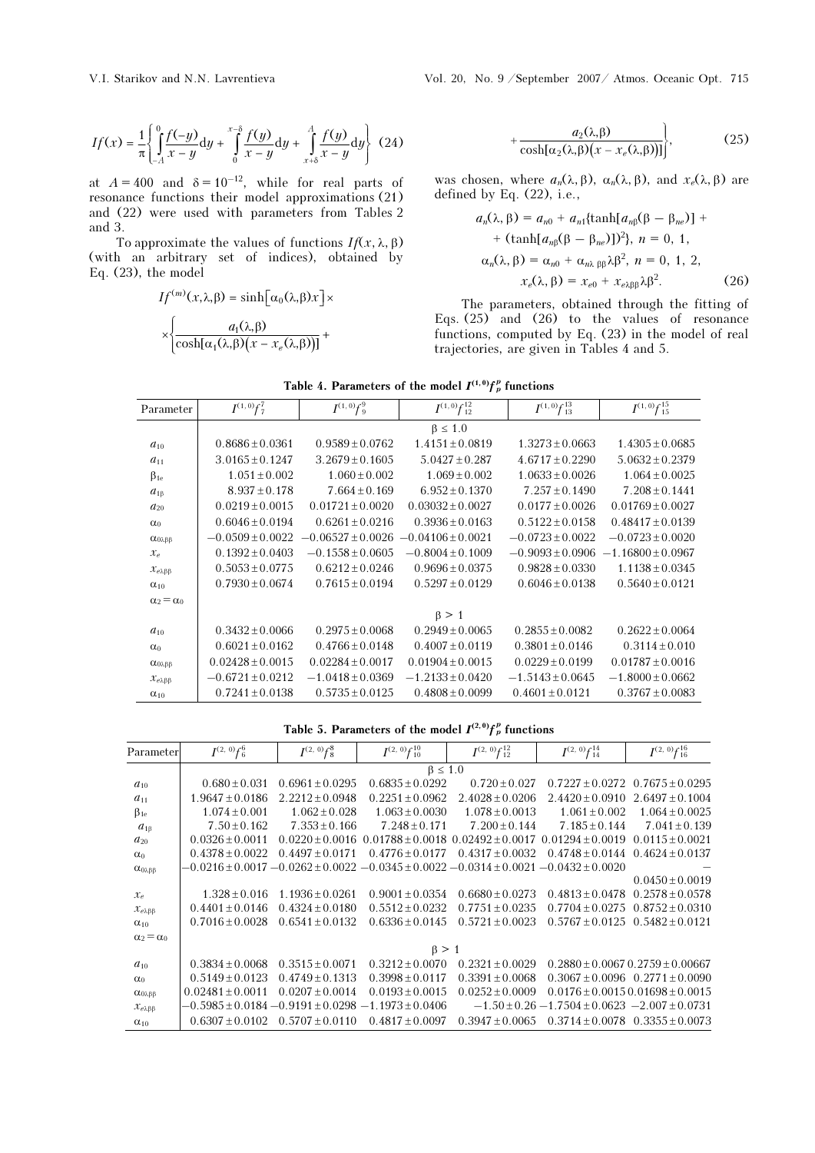$$
If(x) = \frac{1}{\pi} \left\{ \int_{-A}^{0} \frac{f(-y)}{x - y} dy + \int_{0}^{x - \delta} \frac{f(y)}{x - y} dy + \int_{x + \delta}^{A} \frac{f(y)}{x - y} dy \right\}
$$
(24)

at  $A = 400$  and  $\delta = 10^{-12}$ , while for real parts of resonance functions their model approximations (21) and (22) were used with parameters from Tables 2 and 3.

To approximate the values of functions  $If(x, \lambda, \beta)$ (with an arbitrary set of indices), obtained by Eq. (23), the model

$$
If^{(m)}(x,\lambda,\beta) = \sinh[\alpha_0(\lambda,\beta)x] \times \left\{ \frac{a_1(\lambda,\beta)}{\cosh[\alpha_1(\lambda,\beta)(x - x_e(\lambda,\beta))]} + \right\}
$$

$$
+\frac{a_2(\lambda,\beta)}{\cosh[\alpha_2(\lambda,\beta)(x-x_e(\lambda,\beta))]} \bigg\},
$$
 (25)

was chosen, where  $a_n(\lambda, \beta)$ ,  $\alpha_n(\lambda, \beta)$ , and  $x_e(\lambda, \beta)$  are defined by Eq. (22), i.e.,

$$
a_n(\lambda, \beta) = a_{n0} + a_{n1}\{\tanh[a_{n\beta}(\beta - \beta_{ne})] +
$$
  
+  $(\tanh[a_{n\beta}(\beta - \beta_{ne})])^2\}$ ,  $n = 0, 1$ ,  
 $\alpha_n(\lambda, \beta) = \alpha_{n0} + \alpha_{n\lambda \beta \beta} \lambda \beta^2$ ,  $n = 0, 1, 2$ ,  
 $x_e(\lambda, \beta) = x_{e0} + x_{e\lambda \beta \beta} \lambda \beta^2$ . (26)

The parameters, obtained through the fitting of Eqs. (25) and (26) to the values of resonance functions, computed by Eq. (23) in the model of real trajectories, are given in Tables 4 and 5.

| Parameter                          | $I^{(1,0)}f_7^7$     | $I^{(1,0)}$ f <sup>9</sup> | $I^{(1,0)}f_{12}^{12}$ | $I^{(1,0)}$ f <sup>13</sup> | $I^{(1,0)}$ f <sup>15</sup> |
|------------------------------------|----------------------|----------------------------|------------------------|-----------------------------|-----------------------------|
|                                    |                      |                            | $\beta \leq 1.0$       |                             |                             |
| $a_{10}$                           | $0.8686 \pm 0.0361$  | $0.9589 \pm 0.0762$        | $1.4151 \pm 0.0819$    | $1.3273 \pm 0.0663$         | $1.4305 \pm 0.0685$         |
| $a_{11}$                           | $3.0165 \pm 0.1247$  | $3.2679 \pm 0.1605$        | $5.0427 \pm 0.287$     | $4.6717 \pm 0.2290$         | $5.0632 \pm 0.2379$         |
| $\beta_{1e}$                       | $1.051 \pm 0.002$    | $1.060 \pm 0.002$          | $1.069 \pm 0.002$      | $1.0633 \pm 0.0026$         | $1.064 \pm 0.0025$          |
| $a_{1\beta}$                       | $8.937 \pm 0.178$    | $7.664 \pm 0.169$          | $6.952 \pm 0.1370$     | $7.257 \pm 0.1490$          | $7.208 \pm 0.1441$          |
| $a_{20}$                           | $0.0219 \pm 0.0015$  | $0.01721 + 0.0020$         | $0.03032 + 0.0027$     | $0.0177 \pm 0.0026$         | $0.01769 + 0.0027$          |
| $\alpha_0$                         | $0.6046 \pm 0.0194$  | $0.6261 + 0.0216$          | $0.3936 + 0.0163$      | $0.5122 \pm 0.0158$         | $0.48417 \pm 0.0139$        |
| α <sub>0λββ</sub>                  | $-0.0509 \pm 0.0022$ | $-0.06527 + 0.0026$        | $-0.04106 + 0.0021$    | $-0.0723 \pm 0.0022$        | $-0.0723 \pm 0.0020$        |
| $\mathcal{X}_e$                    | $0.1392 + 0.0403$    | $-0.1558 + 0.0605$         | $-0.8004 + 0.1009$     | $-0.9093 + 0.0906$          | $-1.16800 + 0.0967$         |
| $\mathcal{X}_{e\lambda\beta\beta}$ | $0.5053 \pm 0.0775$  | $0.6212 \pm 0.0246$        | $0.9696 + 0.0375$      | $0.9828 + 0.0330$           | $1.1138 \pm 0.0345$         |
| $\alpha_{10}$                      | $0.7930 \pm 0.0674$  | $0.7615 \pm 0.0194$        | $0.5297 \pm 0.0129$    | $0.6046 \pm 0.0138$         | $0.5640 \pm 0.0121$         |
| $\alpha_2 = \alpha_0$              |                      |                            |                        |                             |                             |
|                                    |                      |                            | $\beta > 1$            |                             |                             |
| $a_{10}$                           | $0.3432 \pm 0.0066$  | $0.2975 \pm 0.0068$        | $0.2949 \pm 0.0065$    | $0.2855 \pm 0.0082$         | $0.2622 \pm 0.0064$         |
| $\alpha_0$                         | $0.6021 \pm 0.0162$  | $0.4766 \pm 0.0148$        | $0.4007 \pm 0.0119$    | $0.3801 \pm 0.0146$         | $0.3114 \pm 0.010$          |
| α <sub>0λββ</sub>                  | $0.02428 \pm 0.0015$ | $0.02284 \pm 0.0017$       | $0.01904 \pm 0.0015$   | $0.0229 \pm 0.0199$         | $0.01787 \pm 0.0016$        |
| $x_{e\lambda\beta\beta}$           | $-0.6721 \pm 0.0212$ | $-1.0418 \pm 0.0369$       | $-1.2133 \pm 0.0420$   | $-1.5143 \pm 0.0645$        | $-1.8000 \pm 0.0662$        |
| $\alpha_{10}$                      | $0.7241 \pm 0.0138$  | $0.5735 \pm 0.0125$        | $0.4808 \pm 0.0099$    | $0.4601 \pm 0.0121$         | $0.3767 \pm 0.0083$         |

Table 4. Parameters of the model  $I^{(1,0)}f_p^p$  functions

Table 5. Parameters of the model  $I^{(2,0)}f_p^p$  functions

| Parameter                | $I^{(2, 0)}$ f <sub>6</sub>                                              | $I^{(2, 0)}$ f <sup>8</sup> | $I^{(2, 0)}$ f <sup>10</sup> | $I^{(2, 0)}$ f <sup>12</sup>          | $I^{(2, 0)}$ f <sup>14</sup>                            | $I^{(2, 0)}f_{16}^{16}$                 |  |  |
|--------------------------|--------------------------------------------------------------------------|-----------------------------|------------------------------|---------------------------------------|---------------------------------------------------------|-----------------------------------------|--|--|
|                          | $\beta \leq 1.0$                                                         |                             |                              |                                       |                                                         |                                         |  |  |
| $a_{10}$                 | $0.680 + 0.031$                                                          | $0.6961 + 0.0295$           | $0.6835 + 0.0292$            | $0.720 + 0.027$                       | $0.7227 + 0.0272$                                       | $0.7675 + 0.0295$                       |  |  |
| $a_{11}$                 | $1.9647 + 0.0186$                                                        | $2.2212 + 0.0948$           | $0.2251 + 0.0962$            | $2.4028 + 0.0206$                     | $2.4420 + 0.0910$                                       | $2.6497 \pm 0.1004$                     |  |  |
| $\beta_{1e}$             | $1.074 + 0.001$                                                          | $1.062 \pm 0.028$           | $1.063 \pm 0.0030$           | $1.078 + 0.0013$                      | $1.061 + 0.002$                                         | $1.064 + 0.0025$                        |  |  |
| $a_{1\beta}$             | $7.50 \pm 0.162$                                                         | $7.353 + 0.166$             | $7.248 \pm 0.171$            | $7.200 \pm 0.144$                     | $7.185 + 0.144$                                         | $7.041 + 0.139$                         |  |  |
| $a_{20}$                 | $0.0326 + 0.0011$                                                        | $0.0220 + 0.0016$           |                              | $0.01788 + 0.0018$ $0.02492 + 0.0017$ | $0.01294 \pm 0.0019$                                    | $0.0115 + 0.0021$                       |  |  |
| $\alpha_0$               | $0.4378 + 0.0022$                                                        | $0.4497 + 0.0171$           | $0.4776 + 0.0177$            | $0.4317 \pm 0.0032$                   | $0.4748 + 0.0144$                                       | $0.4624 + 0.0137$                       |  |  |
| α <sub>0λββ</sub>        | $-0.0216 + 0.0017 - 0.0262 + 0.0022 - 0.0345 + 0.0022 - 0.0314 + 0.0021$ |                             |                              |                                       | $-0.0432 + 0.0020$                                      |                                         |  |  |
|                          |                                                                          |                             |                              |                                       |                                                         | $0.0450 \pm 0.0019$                     |  |  |
| $\mathcal{X}_e$          | $1.328 \pm 0.016$                                                        | $1.1936 + 0.0261$           | $0.9001 \pm 0.0354$          | $0.6680 \pm 0.0273$                   | $0.4813 + 0.0478$                                       | $0.2578 + 0.0578$                       |  |  |
| $x_{e\lambda\beta\beta}$ | $0.4401 \pm 0.0146$                                                      | $0.4324 + 0.0180$           | $0.5512 + 0.0232$            | $0.7751 + 0.0235$                     | $0.7704 + 0.0275$                                       | $0.8752 + 0.0310$                       |  |  |
| $\alpha_{10}$            | $0.7016 + 0.0028$                                                        | $0.6541 \pm 0.0132$         | $0.6336 + 0.0145$            | $0.5721 + 0.0023$                     | $0.5767 + 0.0125$                                       | $0.5482 + 0.0121$                       |  |  |
| $\alpha_2 = \alpha_0$    |                                                                          |                             |                              |                                       |                                                         |                                         |  |  |
|                          |                                                                          |                             | $\beta > 1$                  |                                       |                                                         |                                         |  |  |
| $a_{10}$                 | $0.3834 \pm 0.0068$                                                      | $0.3515 \pm 0.0071$         | $0.3212 \pm 0.0070$          | $0.2321 + 0.0029$                     |                                                         | $0.2880 \pm 0.00670.2759 \pm 0.00667$   |  |  |
| $\alpha_0$               | $0.5149 + 0.0123$                                                        | $0.4749 \pm 0.1313$         | $0.3998 \pm 0.0117$          | $0.3391 \pm 0.0068$                   |                                                         | $0.3067 \pm 0.0096$ $0.2771 \pm 0.0090$ |  |  |
| α <sub>0λββ</sub>        | $0.02481 \pm 0.0011$                                                     | $0.0207 \pm 0.0014$         | $0.0193 \pm 0.0015$          | $0.0252 \pm 0.0009$                   |                                                         | $0.0176 \pm 0.00150.01698 \pm 0.0015$   |  |  |
| $x_{e\lambda\beta\beta}$ | $-0.5985 \pm 0.0184 - 0.9191 \pm 0.0298$                                 |                             | $-1.1973 + 0.0406$           |                                       | $-1.50 \pm 0.26 - 1.7504 \pm 0.0623 - 2.007 \pm 0.0731$ |                                         |  |  |
| $\alpha_{10}$            | $0.6307 + 0.0102$                                                        | $0.5707 + 0.0110$           | $0.4817 \pm 0.0097$          | $0.3947 + 0.0065$                     | $0.3714 + 0.0078$                                       | $0.3355 + 0.0073$                       |  |  |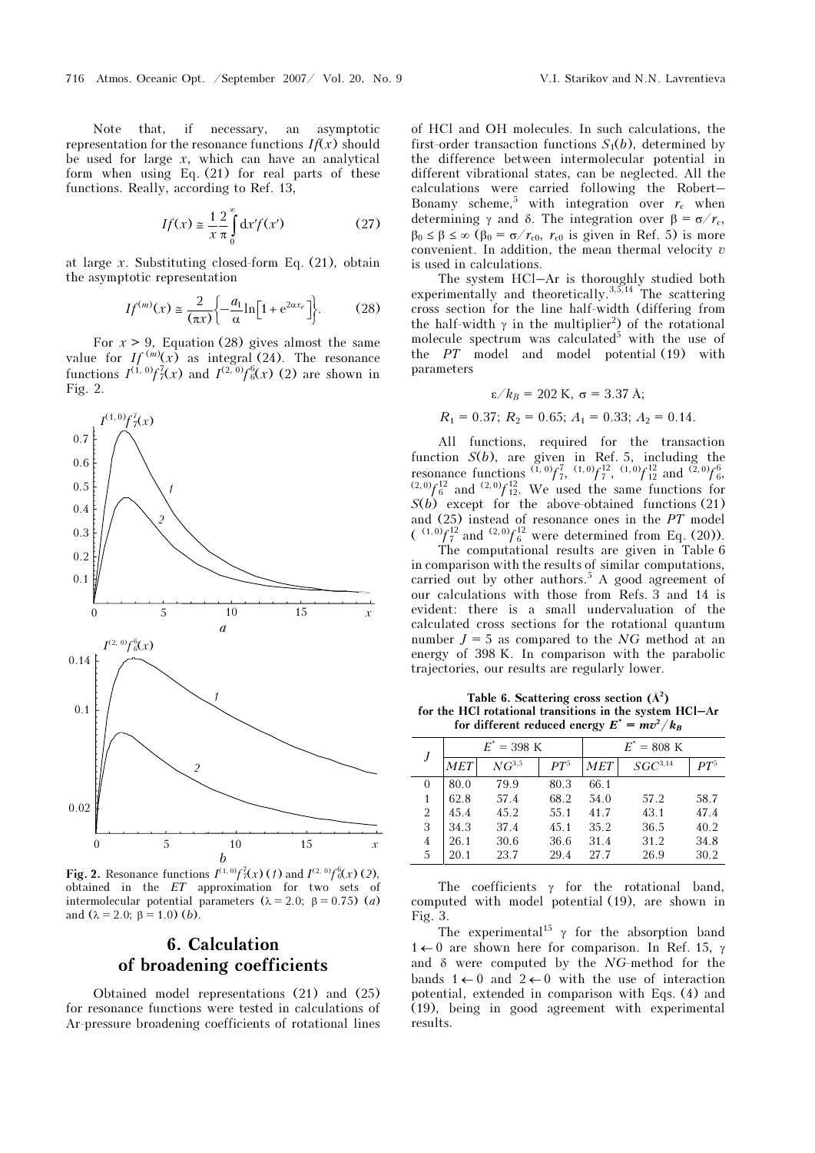Note that, if necessary, an asymptotic representation for the resonance functions  $If(x)$  should be used for large  $x$ , which can have an analytical form when using Eq. (21) for real parts of these functions. Really, according to Ref. 13,

$$
If(x) \approx \frac{1}{x} \frac{2}{\pi} \int_{0}^{\infty} dx' f(x')
$$
 (27)

at large  $x$ . Substituting closed-form Eq. (21), obtain the asymptotic representation

$$
If^{(m)}(x) \approx \frac{2}{(\pi x)} \left\{ -\frac{a_1}{\alpha} \ln \left[ 1 + e^{2\alpha x_e} \right] \right\}.
$$
 (28)

For  $x > 9$ , Equation (28) gives almost the same value for  $If^{(m)}(x)$  as integral (24). The resonance functions  $I^{(1, 0)}f_7^7(x)$  and  $I^{(2, 0)}f_6^6(x)$  (2) are shown in Fig. 2.



**Fig. 2.** Resonance functions  $I^{(1,0)}f_7^7(x)$  (1) and  $I^{(2,0)}f_6^6(x)$  (2), obtained in the ET approximation for two sets of intermolecular potential parameters ( $λ = 2.0$ ;  $β = 0.75$ ) (*a*) and  $(\lambda = 2.0; \beta = 1.0)$  (*b*).

## 6. Calculation of broadening coefficients

Obtained model representations (21) and (25) for resonance functions were tested in calculations of Ar-pressure broadening coefficients of rotational lines of HCl and OH molecules. In such calculations, the first-order transaction functions  $S_1(b)$ , determined by the difference between intermolecular potential in different vibrational states, can be neglected. All the calculations were carried following the Robert– Bonamy scheme,<sup>5</sup> with integration over  $r_c$  when determining γ and δ. The integration over  $β = σ/r_c$ ,  $\beta_0 \leq \beta \leq \infty$  ( $\beta_0 = \sigma/r_{c0}$ ,  $r_{c0}$  is given in Ref. 5) is more convenient. In addition, the mean thermal velocity  $v$ is used in calculations.

The system HCl–Ar is thoroughly studied both experimentally and theoretically.<sup>3,5,14</sup> The scattering cross section for the line half-width (differing from the half-width  $\gamma$  in the multiplier<sup>2</sup>) of the rotational molecule spectrum was calculated<sup>5</sup> with the use of the PT model and model potential (19) with parameters

$$
\varepsilon/k_B = 202 \text{ K}, \sigma = 3.37 \text{ A};
$$

$$
R_1 = 0.37; R_2 = 0.65; A_1 = 0.33; A_2 = 0.14.
$$

All functions, required for the transaction function  $S(b)$ , are given in Ref. 5, including the resonance functions  $(\overline{1}, 0) f_7^7$ ,  $(1,0) f_7^{12}$ ,  $(1,0) f_{12}^{12}$  and  $(\overline{2},0) f_6^6$ ,  $^{(2,0)}$  $f_6^{12}$  and  $^{(2,0)}$  $f_{12}^{12}$ . We used the same functions for  $S(b)$  except for the above-obtained functions (21) and (25) instead of resonance ones in the PT model  $\binom{(1,0)}{7}$  and  $\binom{(2,0)}{6}$  were determined from Eq. (20)).

 The computational results are given in Table 6 in comparison with the results of similar computations, carried out by other authors.<sup>5</sup> A good agreement of our calculations with those from Refs. 3 and 14 is evident: there is a small undervaluation of the calculated cross sections for the rotational quantum number  $J = 5$  as compared to the NG method at an energy of 398 K. In comparison with the parabolic trajectories, our results are regularly lower.

Table 6. Scattering cross section  $(\mathring{A}^2)$ for the HCl rotational transitions in the system HCl–Ar for different reduced energy  $E^* = mv^2/k_B$ 

|          | $E^* = 398$ K |            |        | $E^* = 808$ K |              |        |
|----------|---------------|------------|--------|---------------|--------------|--------|
|          | MET           | $NG^{3,5}$ | $PT^5$ | MET           | $SGC^{3,14}$ | $PT^5$ |
| $\theta$ | 80.0          | 79.9       | 80.3   | 66.1          |              |        |
|          | 62.8          | 57.4       | 68.2   | 54.0          | 57.2         | 58.7   |
| 2        | 45.4          | 45.2       | 55.1   | 41.7          | 43.1         | 47.4   |
| 3        | 34.3          | 37.4       | 4.5.1  | 35.2          | 36.5         | 40.2   |
| 4        | 26.1          | 30.6       | 36.6   | 31.4          | 31.2         | 34.8   |
| 5        | 20.1          | 23.7       | 29.4   | 27 7          | 26.9         | 30.2   |

The coefficients  $\gamma$  for the rotational band, computed with model potential (19), are shown in Fig. 3.

The experimental<sup>15</sup>  $\gamma$  for the absorption band  $1 \leftarrow 0$  are shown here for comparison. In Ref. 15, γ and  $\delta$  were computed by the NG-method for the bands  $1 \leftarrow 0$  and  $2 \leftarrow 0$  with the use of interaction potential, extended in comparison with Eqs. (4) and (19), being in good agreement with experimental results.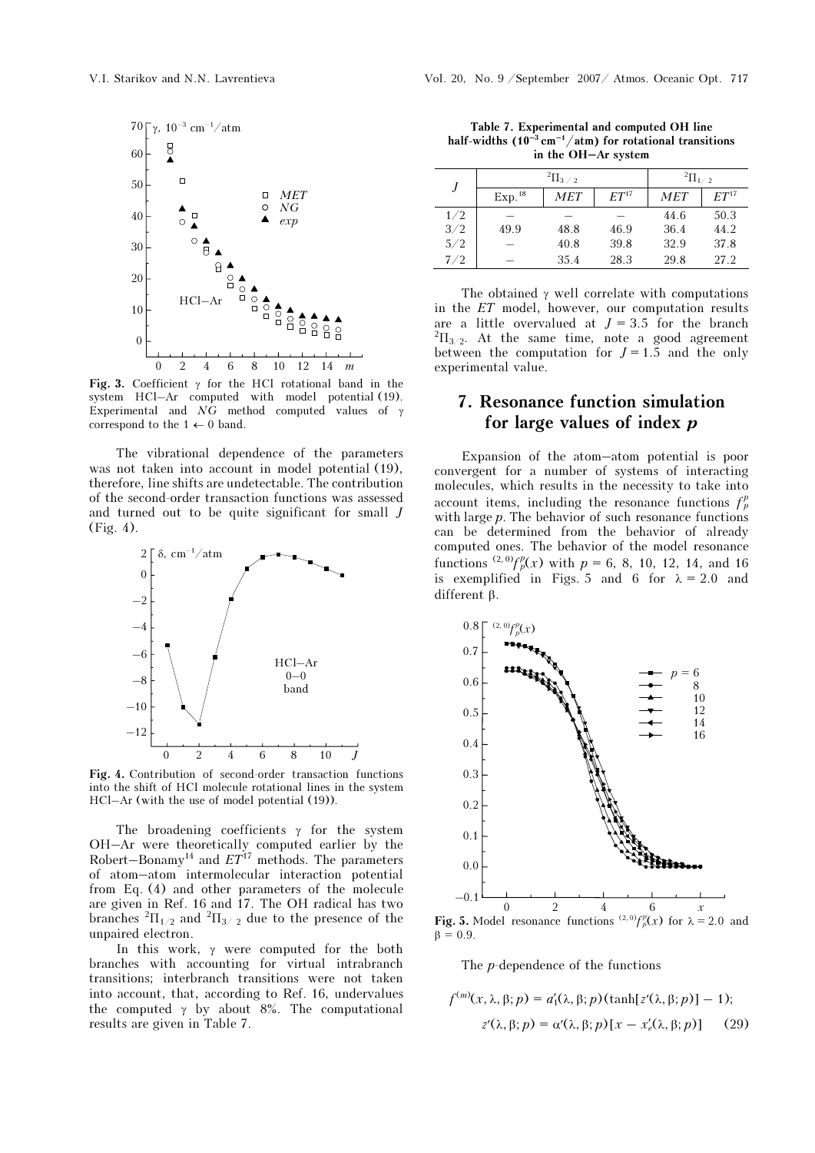

Fig. 3. Coefficient  $\gamma$  for the HCl rotational band in the system HCl–Ar computed with model potential (19). Experimental and  $NG$  method computed values of γ correspond to the  $1 \leftarrow 0$  band.

The vibrational dependence of the parameters was not taken into account in model potential (19), therefore, line shifts are undetectable. The contribution of the second-order transaction functions was assessed and turned out to be quite significant for small J (Fig. 4).



Fig. 4. Contribution of second-order transaction functions into the shift of HCl molecule rotational lines in the system HCl–Ar (with the use of model potential (19)).

The broadening coefficients  $\gamma$  for the system OH–Ar were theoretically computed earlier by the Robert–Bonamy<sup>14</sup> and  $ET^{17}$  methods. The parameters of atom–atom intermolecular interaction potential from Eq. (4) and other parameters of the molecule are given in Ref. 16 and 17. The OH radical has two branches  ${}^{2}\Pi_{1/2}$  and  ${}^{2}\Pi_{3/2}$  due to the presence of the unpaired electron.

In this work, γ were computed for the both branches with accounting for virtual intrabranch transitions; interbranch transitions were not taken into account, that, according to Ref. 16, undervalues the computed  $\gamma$  by about 8%. The computational results are given in Table 7.

Table 7. Experimental and computed OH line half-widths  $(10^{-3} \text{ cm}^{-1}/\text{atm})$  for rotational transitions in the OH–Ar system

|     |                    | $\mathrm{^{2}\Pi_{3}}$ / 2 | $^{2}$ $\Pi_{1/2}$ |            |                  |
|-----|--------------------|----------------------------|--------------------|------------|------------------|
|     | Exp. <sup>18</sup> | MET                        | ET <sup>17</sup>   | <b>MET</b> | ET <sup>17</sup> |
| 1/2 |                    |                            |                    | 44.6       | 50.3             |
| 3/2 | 49.9               | 48.8                       | 46.9               | 36.4       | 44.2             |
| 5/2 |                    | 40.8                       | 39.8               | 32.9       | 37.8             |
| 7/2 |                    | 35.4                       | 28.3               | 29.8       | 27.2             |

The obtained  $\gamma$  well correlate with computations in the ET model, however, our computation results are a little overvalued at  $J = 3.5$  for the branch  ${}^{2} \Pi_{3/2}$ . At the same time, note a good agreement between the computation for  $J = 1.5$  and the only experimental value.

# 7. Resonance function simulation for large values of index  $p$

Expansion of the atom–atom potential is poor convergent for a number of systems of interacting molecules, which results in the necessity to take into account items, including the resonance functions  $f_p^p$ with large  $p$ . The behavior of such resonance functions can be determined from the behavior of already computed ones. The behavior of the model resonance functions <sup>(2, 0)</sup> $f_p^p(x)$  with  $p = 6, 8, 10, 12, 14,$  and 16 is exemplified in Figs. 5 and 6 for  $\lambda = 2.0$  and different β.



 $β = 0.9.$ 

The p-dependence of the functions

$$
f^{(m)}(x, \lambda, \beta; p) = a'_1(\lambda, \beta; p)(\tanh[z'(\lambda, \beta; p)] - 1);
$$
  

$$
z'(\lambda, \beta; p) = \alpha'(\lambda, \beta; p)[x - x'_e(\lambda, \beta; p)] \qquad (29)
$$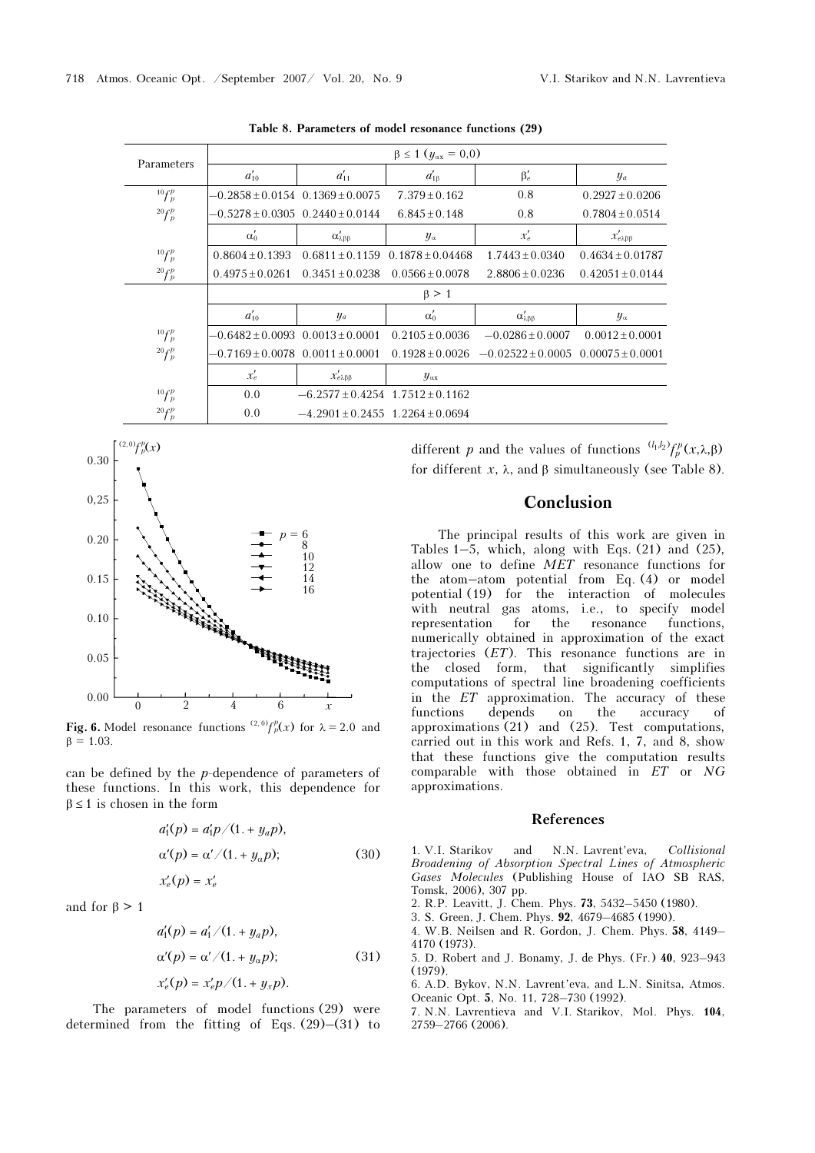| Parameters   | $\beta \le 1$ ( $y_{\alpha x} = 0,0$ )   |                                          |                     |                               |                           |  |  |
|--------------|------------------------------------------|------------------------------------------|---------------------|-------------------------------|---------------------------|--|--|
|              | $a_{10}'$                                | $a'_{11}$                                | $d'_{1\beta}$       | $\beta'_e$                    | $y_a$                     |  |  |
| $^{10}f_p^p$ | $-0.2858 \pm 0.0154$ 0.1369 $\pm 0.0075$ |                                          | $7.379 + 0.162$     | 0.8                           | $0.2927 + 0.0206$         |  |  |
| $20 f_p^p$   |                                          | $-0.5278 + 0.0305 \quad 0.2440 + 0.0144$ | $6.845 + 0.148$     | 0.8                           | $0.7804 + 0.0514$         |  |  |
|              | $\alpha_0'$                              | $\alpha'_{\lambda\beta\beta}$            | $y_{\alpha}$        | $x_e'$                        | $x'_{e\lambda\beta\beta}$ |  |  |
| $^{10}f_p^p$ | $0.8604 + 0.1393$                        | $0.6811 + 0.1159$                        | $0.1878 + 0.04468$  | $1.7443 + 0.0340$             | $0.4634 + 0.01787$        |  |  |
| $20 f_p^p$   | $0.4975 + 0.0261$                        | $0.3451 + 0.0238$                        | $0.0566 \pm 0.0078$ | $2.8806 + 0.0236$             | $0.42051 + 0.0144$        |  |  |
|              |                                          |                                          | $\beta > 1$         |                               |                           |  |  |
|              | $a_{10}'$                                | $y_a$                                    | $\alpha'_0$         | $\alpha'_{\lambda\beta\beta}$ | $y_{\alpha}$              |  |  |
| $^{10}f_p^p$ | $-0.6482 + 0.0093$ $0.0013 + 0.0001$     |                                          | $0.2105 + 0.0036$   | $-0.0286 + 0.0007$            | $0.0012 + 0.0001$         |  |  |
| $20 f_p^p$   | $-0.7169 + 0.0078$                       | $0.0011 \pm 0.0001$                      | $0.1928 + 0.0026$   | $-0.02522 + 0.0005$           | $0.00075 + 0.0001$        |  |  |
|              | $x_e'$                                   | $x'_{e\lambda\beta\beta}$                | $y_{\alpha x}$      |                               |                           |  |  |
| $^{10}f_p^p$ | 0.0                                      | $-6.2577 + 0.4254$ 1.7512 + 0.1162       |                     |                               |                           |  |  |
| $20 f_p^p$   | 0.0                                      | $-4.2901 + 0.2455$ 1.2264 + 0.0694       |                     |                               |                           |  |  |

Table 8. Parameters of model resonance functions (29)



**Fig. 6.** Model resonance functions <sup>(2, 0)</sup> $f_p^p(x)$  for  $\lambda = 2.0$  and  $β = 1.03$ .

can be defined by the p-dependence of parameters of these functions. In this work, this dependence for  $\beta \leq 1$  is chosen in the form

$$
a'_1(p) = a'_1 p / (1. + y_a p),
$$
  
\n
$$
\alpha'(p) = \alpha' / (1. + y_\alpha p);
$$
  
\n
$$
x'_e(p) = x'_e
$$
\n(30)

and for  $\beta > 1$ 

$$
a'_1(p) = a'_1/(1. + y_a p),
$$
  
\n
$$
\alpha'(p) = \alpha'/(1. + y_a p);
$$
  
\n
$$
x'_e(p) = x'_e p/(1. + y_x p).
$$
\n(31)

The parameters of model functions (29) were determined from the fitting of Eqs. (29)–(31) to

different p and the values of functions  $^{(l_1,l_2)}f_p^p(x,\lambda,\beta)$ for different x, λ, and β simultaneously (see Table 8).

# Conclusion

The principal results of this work are given in Tables  $1-5$ , which, along with Eqs.  $(21)$  and  $(25)$ , allow one to define MET resonance functions for the atom–atom potential from Eq. (4) or model potential (19) for the interaction of molecules with neutral gas atoms, i.e., to specify model representation for the resonance functions, numerically obtained in approximation of the exact trajectories (ET). This resonance functions are in the closed form, that significantly simplifies computations of spectral line broadening coefficients in the ET approximation. The accuracy of these functions depends on the accuracy of approximations (21) and (25). Test computations, carried out in this work and Refs. 1, 7, and 8, show that these functions give the computation results comparable with those obtained in  $ET$  or  $NG$ approximations.

#### References

1. V.I. Starikov and N.N. Lavrent'eva, Collisional Broadening of Absorption Spectral Lines of Atmospheric Gases Molecules (Publishing House of IAO SB RAS, Tomsk, 2006), 307 pp.

- 2. R.P. Leavitt, J. Chem. Phys. 73, 5432–5450 (1980).
- 3. S. Green, J. Chem. Phys. 92, 4679–4685 (1990).
- 4. W.B. Neilsen and R. Gordon, J. Chem. Phys. 58, 4149– 4170 (1973).
- 5. D. Robert and J. Bonamy, J. de Phys. (Fr.) 40, 923–943 (1979).

6. A.D. Bykov, N.N. Lavrent'eva, and L.N. Sinitsa, Atmos. Oceanic Opt. 5, No. 11, 728–730 (1992).

7. N.N. Lavrentieva and V.I. Starikov, Mol. Phys. 104, 2759–2766 (2006).